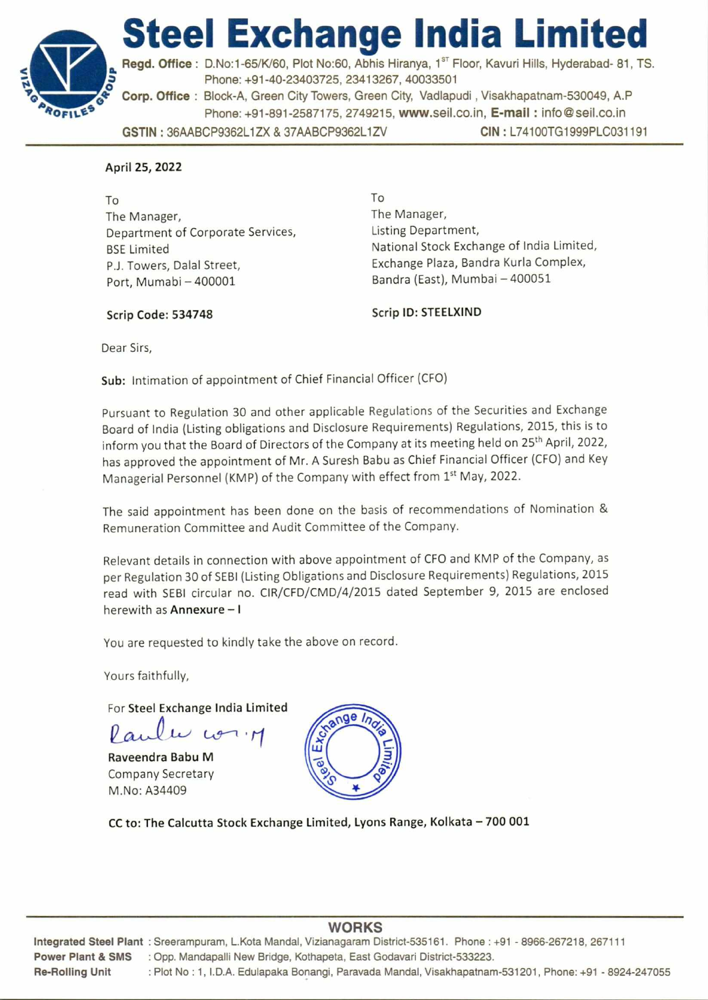



A**ROFtit.**E9 **Phone: +91-891-2587175, 2749215, www.seil.co.in, E-mail : info@seil.co.in GSTIN :** 36AABCP9362L1ZX & 37AABCP9362L1ZV **CIN :** L74100TG1999PLC031191 Regd. Office : D.No:1-65/K/60, Plot No:60, Abhis Hiranya, 1<sup>st</sup> Floor, Kavuri Hills, Hyderabad- 81, TS. **z Phone: +91-40-23403725, 23413267, 40033501 Corp. Office : Block-A, Green City Towers, Green City, Vadlapudi , Visakhapatnam-530049, A.P** 

## **April 25, 2022**

To The Manager, Department of Corporate Services, BSE Limited P.J. Towers, Dalal Street, Port, Mumabi — 400001

To The Manager, Listing Department, National Stock Exchange of India Limited, Exchange Plaza, Bandra Kurla Complex, Bandra (East), Mumbai — 400051

Scrip Code: 534748 Scrip ID: STEELXIND

Dear Sirs,

**Sub:** Intimation of appointment of Chief Financial Officer (CFO)

Pursuant to Regulation 30 and other applicable Regulations of the Securities and Exchange Board of India (Listing obligations and Disclosure Requirements) Regulations, 2015, this is to inform you that the Board of Directors of the Company at its meeting held on 25<sup>th</sup> April, 2022, has approved the appointment of Mr. A Suresh Babu as Chief Financial Officer (CFO) and Key Managerial Personnel (KMP) of the Company with effect from 1st May, 2022.

The said appointment has been done on the basis of recommendations of Nomination & Remuneration Committee and Audit Committee of the Company.

Relevant details in connection with above appointment of CFO and KMP of the Company, as per Regulation 30 of SEBI (Listing Obligations and Disclosure Requirements) Regulations, 2015 read with SEBI circular no. CIR/CFD/CMD/4/2015 dated September 9, 2015 are enclosed herewith as **Annexure - I** 

You are requested to kindly take the above on record.

Yours faithfully,

For **Steel Exchange India Limited** 

Paulu com

**Raveendra Babu M**  Company Secretary M.No: A34409



**CC to: The Calcutta Stock Exchange Limited, Lyons Range, Kolkata — 700 001** 

# **WORKS**

**Integrated Steel Plant :** Sreerampuram, L.Kota Mandal, Vizianagaram District-535161. Phone : +91 - 8966-267218, 267111 **Power Plant & SMS :** Opp. Mandapalli New Bridge, Kothapeta, East Godavari District-533223. **Re-Rolling Unit :** Plot No : 1, I.D.A. Edulapaka Bonangi, Paravada Mandal, Visakhapatnam-531201, Phone: +91 - 8924-247055